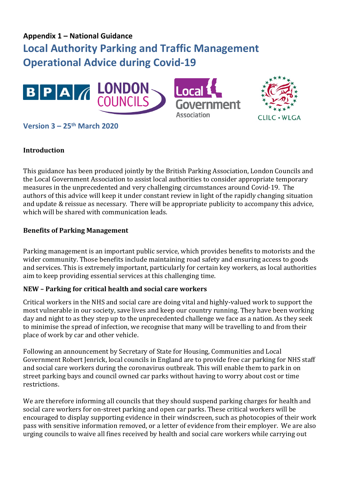# **Appendix 1 – National Guidance Local Authority Parking and Traffic Management Operational Advice during Covid-19**



# **Version 3 – 25th March 2020**

#### **Introduction**

This guidance has been produced jointly by the British Parking Association, London Councils and the Local Government Association to assist local authorities to consider appropriate temporary measures in the unprecedented and very challenging circumstances around Covid-19. The authors of this advice will keep it under constant review in light of the rapidly changing situation and update & reissue as necessary. There will be appropriate publicity to accompany this advice, which will be shared with communication leads.

#### **Benefits of Parking Management**

Parking management is an important public service, which provides benefits to motorists and the wider community. Those benefits include maintaining road safety and ensuring access to goods and services. This is extremely important, particularly for certain key workers, as local authorities aim to keep providing essential services at this challenging time.

#### **NEW – Parking for critical health and social care workers**

Critical workers in the NHS and social care are doing vital and highly-valued work to support the most vulnerable in our society, save lives and keep our country running. They have been working day and night to as they step up to the unprecedented challenge we face as a nation. As they seek to minimise the spread of infection, we recognise that many will be travelling to and from their place of work by car and other vehicle.

Following an announcement by Secretary of State for Housing, Communities and Local Government Robert Jenrick, local councils in England are to provide free car parking for NHS staff and social care workers during the coronavirus outbreak. This will enable them to park in on street parking bays and council owned car parks without having to worry about cost or time restrictions.

We are therefore informing all councils that they should suspend parking charges for health and social care workers for on-street parking and open car parks. These critical workers will be encouraged to display supporting evidence in their windscreen, such as photocopies of their work pass with sensitive information removed, or a letter of evidence from their employer. We are also urging councils to waive all fines received by health and social care workers while carrying out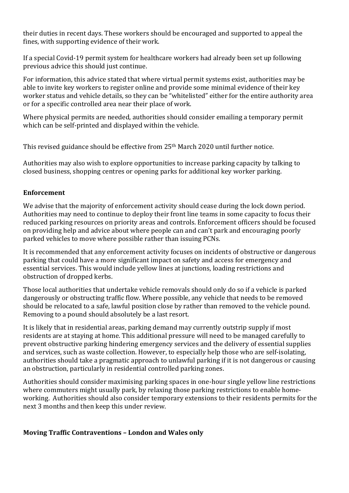their duties in recent days. These workers should be encouraged and supported to appeal the fines, with supporting evidence of their work.

If a special Covid-19 permit system for healthcare workers had already been set up following previous advice this should just continue.

For information, this advice stated that where virtual permit systems exist, authorities may be able to invite key workers to register online and provide some minimal evidence of their key worker status and vehicle details, so they can be "whitelisted" either for the entire authority area or for a specific controlled area near their place of work.

Where physical permits are needed, authorities should consider emailing a temporary permit which can be self-printed and displayed within the vehicle.

This revised guidance should be effective from 25<sup>th</sup> March 2020 until further notice.

Authorities may also wish to explore opportunities to increase parking capacity by talking to closed business, shopping centres or opening parks for additional key worker parking.

### **Enforcement**

We advise that the majority of enforcement activity should cease during the lock down period. Authorities may need to continue to deploy their front line teams in some capacity to focus their reduced parking resources on priority areas and controls. Enforcement officers should be focused on providing help and advice about where people can and can't park and encouraging poorly parked vehicles to move where possible rather than issuing PCNs.

It is recommended that any enforcement activity focuses on incidents of obstructive or dangerous parking that could have a more significant impact on safety and access for emergency and essential services. This would include yellow lines at junctions, loading restrictions and obstruction of dropped kerbs.

Those local authorities that undertake vehicle removals should only do so if a vehicle is parked dangerously or obstructing traffic flow. Where possible, any vehicle that needs to be removed should be relocated to a safe, lawful position close by rather than removed to the vehicle pound. Removing to a pound should absolutely be a last resort.

It is likely that in residential areas, parking demand may currently outstrip supply if most residents are at staying at home. This additional pressure will need to be managed carefully to prevent obstructive parking hindering emergency services and the delivery of essential supplies and services, such as waste collection. However, to especially help those who are self-isolating, authorities should take a pragmatic approach to unlawful parking if it is not dangerous or causing an obstruction, particularly in residential controlled parking zones.

Authorities should consider maximising parking spaces in one-hour single yellow line restrictions where commuters might usually park, by relaxing those parking restrictions to enable homeworking. Authorities should also consider temporary extensions to their residents permits for the next 3 months and then keep this under review.

## **Moving Traffic Contraventions – London and Wales only**